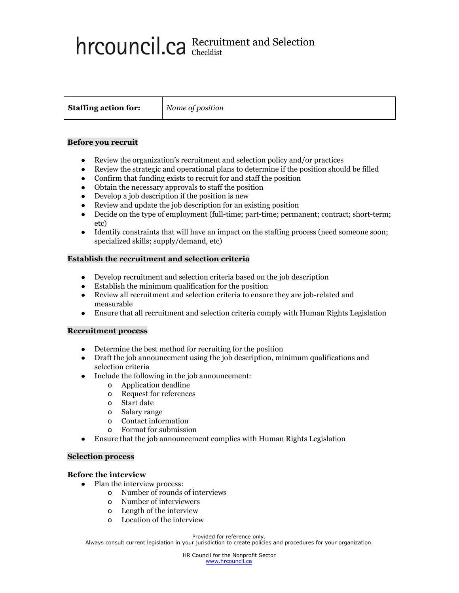# Recruitment and Selection Checklist

**Staffing action for:** *Name of position*

### **Before you recruit**

- Review the organization's recruitment and selection policy and/or practices
- Review the strategic and operational plans to determine if the position should be filled
- Confirm that funding exists to recruit for and staff the position
- Obtain the necessary approvals to staff the position
- Develop a job description if the position is new
- Review and update the job description for an existing position
- Decide on the type of employment (full-time; part-time; permanent; contract; short-term; etc)
- Identify constraints that will have an impact on the staffing process (need someone soon; specialized skills; supply/demand, etc)

## **Establish the recruitment and selection criteria**

- Develop recruitment and selection criteria based on the job description
- Establish the minimum qualification for the position
- Review all recruitment and selection criteria to ensure they are job-related and measurable
- Ensure that all recruitment and selection criteria comply with Human Rights Legislation

## **Recruitment process**

- Determine the best method for recruiting for the position
- Draft the job announcement using the job description, minimum qualifications and selection criteria
- Include the following in the job announcement:
	- o Application deadline
	- o Request for references
	- o Start date
	- o Salary range
	- o Contact information
	- o Format for submission
- Ensure that the job announcement complies with Human Rights Legislation

## **Selection process**

## **Before the interview**

- Plan the interview process:
	- o Number of rounds of interviews
	- o Number of interviewers
	- o Length of the interview
	- o Location of the interview

#### Provided for reference only.

Always consult current legislation in your jurisdiction to create policies and procedures for your organization.